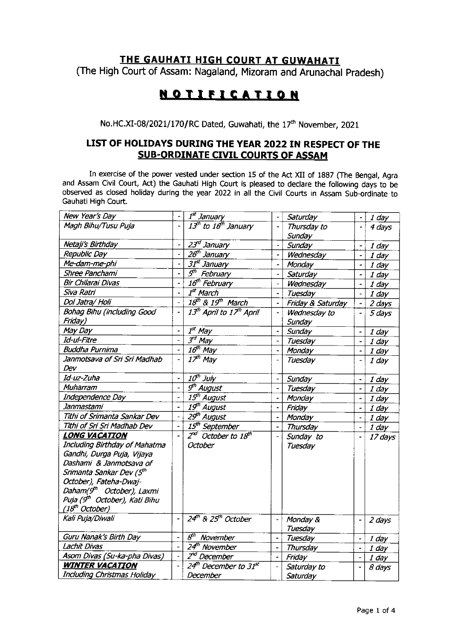## THE GAUHATI HIGH COURT AT GUWAHATI

(The High Court of Assam: Nagaland, Mizoram and Arunachal Pradesh)

## **NOTIFICATION**

No.HC.XI-08/2021/170/RC Dated, Guwahati, the 17<sup>th</sup> November, 2021

## LIST OF HOLIDAYS DURING THE YEAR 2022 tN RESPECT OF THE SUB-ORDINATE CIVIL COURTS OF ASSAM

In exercise of the power vested under section 15 of the Act XII of 1887 (The Bengal, Agra and Assam civil court, Act) the Gauhati High court is pleased to declare the following days to be observed as closed holiday during the year 2022 in all the Civil Courts in Assam Sub-ordinate to Gauhati High Court.

| New Year's Day                            | $\ddot{\phantom{1}}$         | 1 <sup>st</sup> January                          |                          | Saturday          | $\blacksquare$           | $1$ day |
|-------------------------------------------|------------------------------|--------------------------------------------------|--------------------------|-------------------|--------------------------|---------|
| Magh Bihu/Tusu Puja                       |                              | 13 <sup>th</sup> to 16 <sup>th</sup> January     | ÷.                       | Thursday to       | $\blacksquare$           | 4 days  |
|                                           |                              |                                                  |                          | Sunday            |                          |         |
| Netaji's Birthday                         | ÷                            | 23 <sup>rd</sup> January                         | $\blacksquare$           | Sunday            | $\overline{\phantom{a}}$ | $1$ day |
| Republic Day                              | $\overline{a}$               | 26 <sup>th</sup> January                         |                          | Wednesday         | $\blacksquare$           | $1$ day |
| Me-dam-me-phi                             | $\overline{a}$               | $31st$ January                                   |                          | Monday            | ÷                        | $1$ day |
| Shree Panchami                            | $\overline{a}$               | 5 <sup>th</sup> February                         |                          | Saturday          | $\overline{\phantom{0}}$ | $1$ day |
| Bir Chilarai Divas                        | $\overline{a}$               | 16 <sup>th</sup> February                        |                          | Wednesday         | $\blacksquare$           | 1 day   |
| Siva Ratri                                | $\ddot{\phantom{1}}$         | $Tst$ March                                      |                          | Tuesday           |                          | 1 day   |
| Dol Jatra/ Holi                           | $\frac{1}{2}$                | $18th$ & $19th$ March                            | $\overline{\phantom{a}}$ | Friday & Saturday | $\overline{\phantom{0}}$ | 2 days  |
| Bohag Bihu (including Good                | $\frac{1}{2}$                | 13 <sup>th</sup> April to 17 <sup>th</sup> April | $\ddot{\phantom{0}}$     | Wednesday to      | $\overline{\phantom{0}}$ | 5 days  |
| Friday)                                   |                              |                                                  |                          | Sunday            |                          |         |
| May Day                                   | $\qquad \qquad \blacksquare$ | $T^{\text{st}}$ May                              | $\blacksquare$           | Sunday            | $\Box$                   | $1$ day |
| Id-ul-Fitre                               | $\ddot{\phantom{0}}$         | $\overline{3^d}$ May                             | $\blacksquare$           | Tuesday           | $\blacksquare$           | 1 day   |
| <b>Buddha Purnima</b>                     | $\overline{a}$               | $16th$ May                                       | $\overline{\phantom{a}}$ | Monday            | $\blacksquare$           | $1$ day |
| Janmotsava of Sri Sri Madhab              | $\overline{a}$               | $I^{\neq h}$ May                                 |                          | Tuesday           | $\overline{\phantom{a}}$ | $1$ day |
| Dev                                       |                              |                                                  |                          |                   |                          |         |
| Id-uz-Zuha                                | $\qquad \qquad \blacksquare$ | $10h$ July                                       |                          | Sunday            | $\overline{\phantom{0}}$ | $1$ day |
| Muharram                                  | $\blacksquare$               | $\overline{g^{th}}$ August                       |                          | Tuesday           |                          | $1$ day |
| Independence Day                          | $\overline{a}$               | 15 <sup>th</sup> August                          |                          | Monday            |                          | 1 day   |
| Janmastami                                | $\overline{\phantom{0}}$     | 19 <sup>th</sup> August                          |                          | Friday            |                          | $1$ day |
| Tithi of Srimanta Sankar Dev              | $\ddot{\phantom{0}}$         | 29 <sup>th</sup> August                          |                          | Monday            |                          | $1$ day |
| Tithi of Sri Sri Madhab Dev               | $\overline{\phantom{a}}$     | 15 <sup>th</sup> September                       | $\overline{a}$           | Thursday          | $\overline{a}$           | 1 day   |
| LONG VACATION                             |                              | $2^{nd}$ October to $18^{th}$                    | ÷.                       | Sunday to         | $\overline{a}$           | 17 days |
| Including Birthday of Mahatma             |                              | October                                          |                          | Tuesday           |                          |         |
| Gandhi, Durga Puja, Vijaya                |                              |                                                  |                          |                   |                          |         |
| Dashami & Janmotsava of                   |                              |                                                  |                          |                   |                          |         |
| Srimanta Sankar Dev (5 <sup>th</sup>      |                              |                                                  |                          |                   |                          |         |
| October), Fateha-Dwaj-                    |                              |                                                  |                          |                   |                          |         |
| Daham(9 <sup>th</sup> October), Laxmi     |                              |                                                  |                          |                   |                          |         |
| Puja (9 <sup>th</sup> October), Kati Bihu |                              |                                                  |                          |                   |                          |         |
| (18 <sup>th</sup> October)                |                              |                                                  |                          |                   |                          |         |
| Kali Puja/Diwali                          | $\overline{a}$               | $24th$ & $25th$ October                          | $\overline{\phantom{a}}$ | Monday &          | $\blacksquare$           | 2 days  |
|                                           |                              |                                                  |                          | Tuesday           |                          |         |
| Guru Nanak's Birth Day                    | $\blacksquare$               | $\overline{\mathcal{S}^{th}}$ November           | $\blacksquare$           | Tuesday           | $\overline{\phantom{0}}$ | $1$ day |
| Lachit Divas                              | $\overline{a}$               | 24 <sup>th</sup> November                        | $\blacksquare$           | Thursday          | ÷                        | 1 day   |
| Asom Divas (Su-ka-pha Divas)              | $\overline{\phantom{a}}$     | $Z^{n}$ December                                 | $\frac{1}{2}$            | Friday            | $\blacksquare$           | $1$ day |
| <b>WINTER VACATION</b>                    |                              | 24 <sup>th</sup> December to 31 <sup>st</sup>    |                          | Saturday to       |                          | 8 days  |
| <b>Including Christmas Holiday</b>        |                              | December                                         |                          | Saturday          |                          |         |